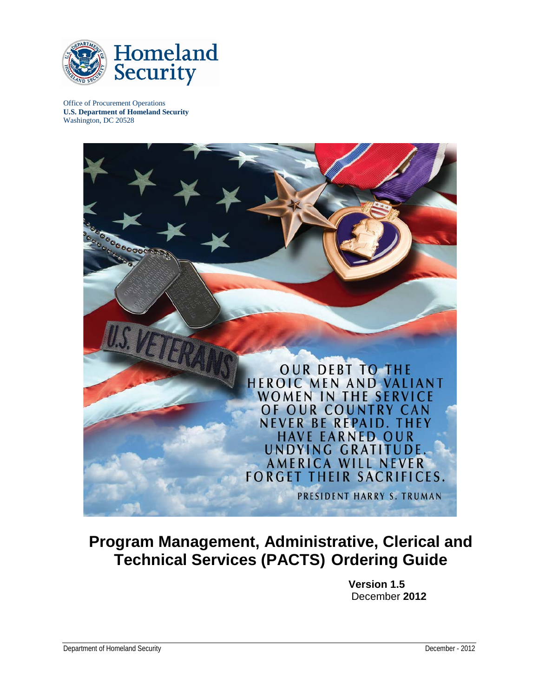

Office of Procurement Operations **U.S. Department of Homeland Security** Washington, DC 20528



# **Program Management, Administrative, Clerical and Technical Services (PACTS) Ordering Guide**

**Version 1.5** December **2012**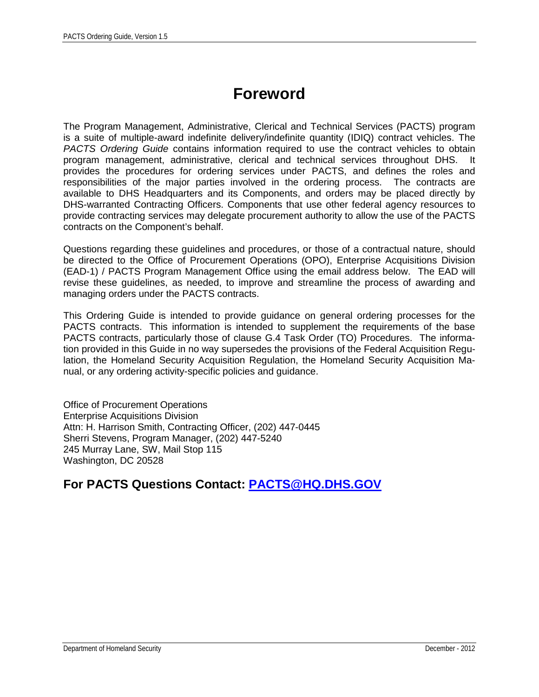# **Foreword**

The Program Management, Administrative, Clerical and Technical Services (PACTS) program is a suite of multiple-award indefinite delivery/indefinite quantity (IDIQ) contract vehicles. The *PACTS Ordering Guide* contains information required to use the contract vehicles to obtain program management, administrative, clerical and technical services throughout DHS. It provides the procedures for ordering services under PACTS, and defines the roles and responsibilities of the major parties involved in the ordering process. The contracts are available to DHS Headquarters and its Components, and orders may be placed directly by DHS-warranted Contracting Officers. Components that use other federal agency resources to provide contracting services may delegate procurement authority to allow the use of the PACTS contracts on the Component's behalf.

Questions regarding these guidelines and procedures, or those of a contractual nature, should be directed to the Office of Procurement Operations (OPO), Enterprise Acquisitions Division (EAD-1) / PACTS Program Management Office using the email address below. The EAD will revise these guidelines, as needed, to improve and streamline the process of awarding and managing orders under the PACTS contracts.

This Ordering Guide is intended to provide guidance on general ordering processes for the PACTS contracts. This information is intended to supplement the requirements of the base PACTS contracts, particularly those of clause G.4 Task Order (TO) Procedures. The information provided in this Guide in no way supersedes the provisions of the Federal Acquisition Regulation, the Homeland Security Acquisition Regulation, the Homeland Security Acquisition Manual, or any ordering activity-specific policies and guidance.

Office of Procurement Operations Enterprise Acquisitions Division Attn: H. Harrison Smith, Contracting Officer, (202) 447-0445 Sherri Stevens, Program Manager, (202) 447-5240 245 Murray Lane, SW, Mail Stop 115 Washington, DC 20528

#### **For PACTS Questions Contact: [PACTS@HQ.DHS.GOV](mailto:PACTS@HQ.DHS.GOV)**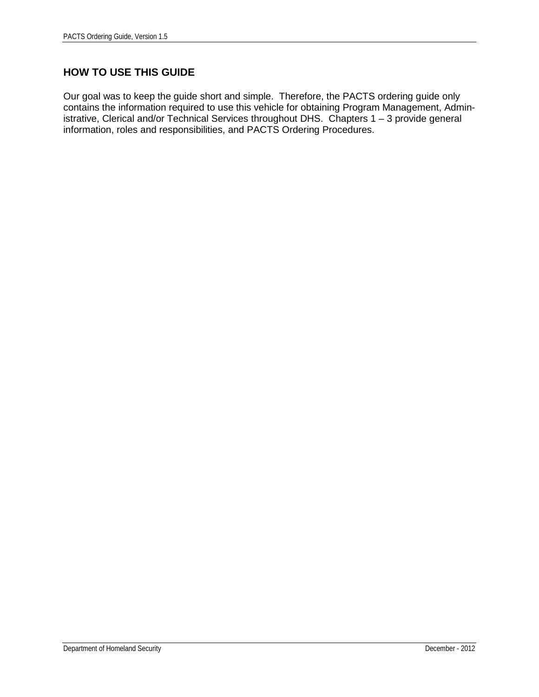#### **HOW TO USE THIS GUIDE**

Our goal was to keep the guide short and simple. Therefore, the PACTS ordering guide only contains the information required to use this vehicle for obtaining Program Management, Administrative, Clerical and/or Technical Services throughout DHS. Chapters 1 – 3 provide general information, roles and responsibilities, and PACTS Ordering Procedures.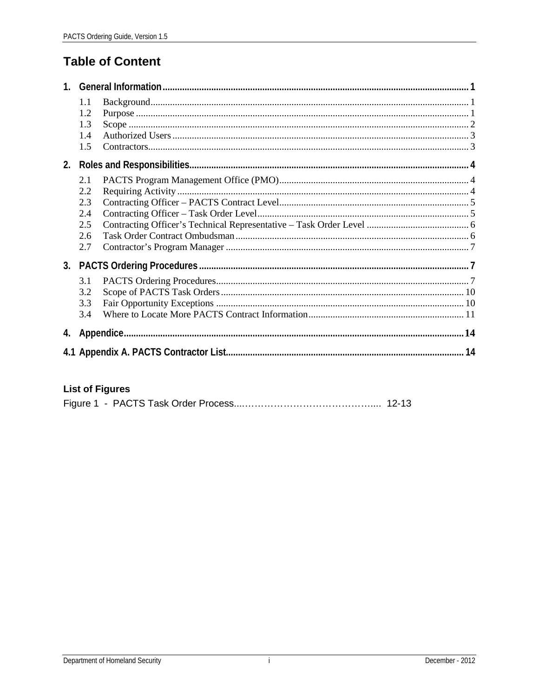## **Table of Content**

| 1 <sup>1</sup> |                                               |  |  |  |  |  |
|----------------|-----------------------------------------------|--|--|--|--|--|
|                | 1.1<br>1.2<br>1.3<br>1.4<br>1.5               |  |  |  |  |  |
| 2.             |                                               |  |  |  |  |  |
|                | 2.1<br>2.2<br>2.3<br>2.4<br>2.5<br>2.6<br>2.7 |  |  |  |  |  |
|                |                                               |  |  |  |  |  |
|                | 3.1<br>3.2<br>3.3<br>3.4                      |  |  |  |  |  |
|                |                                               |  |  |  |  |  |
|                |                                               |  |  |  |  |  |

#### **List of Figures**

|--|--|--|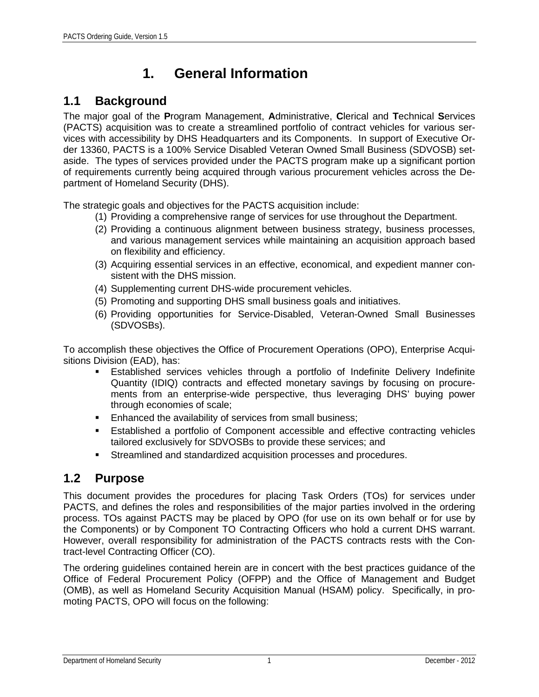# **1. General Information**

### <span id="page-4-1"></span><span id="page-4-0"></span>**1.1 Background**

The major goal of the **P**rogram Management, **A**dministrative, **C**lerical and **T**echnical **S**ervices (PACTS) acquisition was to create a streamlined portfolio of contract vehicles for various services with accessibility by DHS Headquarters and its Components. In support of Executive Order 13360, PACTS is a 100% Service Disabled Veteran Owned Small Business (SDVOSB) setaside. The types of services provided under the PACTS program make up a significant portion of requirements currently being acquired through various procurement vehicles across the Department of Homeland Security (DHS).

The strategic goals and objectives for the PACTS acquisition include:

- (1) Providing a comprehensive range of services for use throughout the Department.
- (2) Providing a continuous alignment between business strategy, business processes, and various management services while maintaining an acquisition approach based on flexibility and efficiency.
- (3) Acquiring essential services in an effective, economical, and expedient manner consistent with the DHS mission.
- (4) Supplementing current DHS-wide procurement vehicles.
- (5) Promoting and supporting DHS small business goals and initiatives.
- (6) Providing opportunities for Service-Disabled, Veteran-Owned Small Businesses (SDVOSBs).

To accomplish these objectives the Office of Procurement Operations (OPO), Enterprise Acquisitions Division (EAD), has:

- Established services vehicles through a portfolio of Indefinite Delivery Indefinite Quantity (IDIQ) contracts and effected monetary savings by focusing on procurements from an enterprise-wide perspective, thus leveraging DHS' buying power through economies of scale;
- **Enhanced the availability of services from small business;**
- Established a portfolio of Component accessible and effective contracting vehicles tailored exclusively for SDVOSBs to provide these services; and
- Streamlined and standardized acquisition processes and procedures.

#### <span id="page-4-2"></span>**1.2 Purpose**

This document provides the procedures for placing Task Orders (TOs) for services under PACTS, and defines the roles and responsibilities of the major parties involved in the ordering process. TOs against PACTS may be placed by OPO (for use on its own behalf or for use by the Components) or by Component TO Contracting Officers who hold a current DHS warrant. However, overall responsibility for administration of the PACTS contracts rests with the Contract-level Contracting Officer (CO).

The ordering guidelines contained herein are in concert with the best practices guidance of the Office of Federal Procurement Policy (OFPP) and the Office of Management and Budget (OMB), as well as Homeland Security Acquisition Manual (HSAM) policy. Specifically, in promoting PACTS, OPO will focus on the following: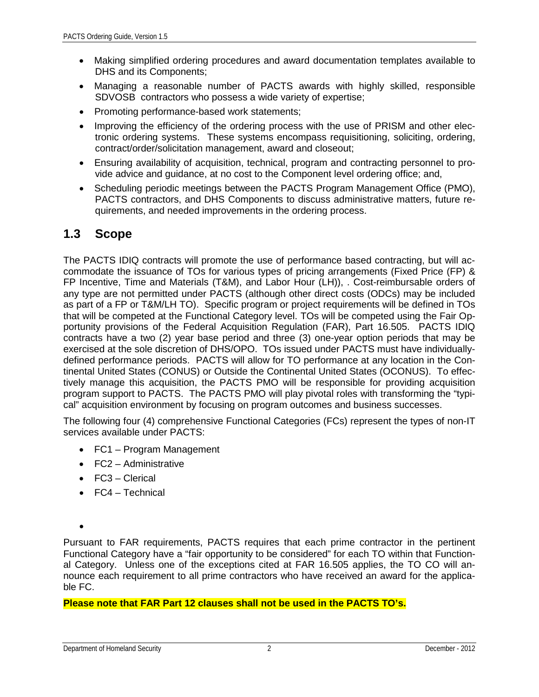- Making simplified ordering procedures and award documentation templates available to DHS and its Components;
- Managing a reasonable number of PACTS awards with highly skilled, responsible SDVOSB contractors who possess a wide variety of expertise;
- Promoting performance-based work statements;
- Improving the efficiency of the ordering process with the use of PRISM and other electronic ordering systems. These systems encompass requisitioning, soliciting, ordering, contract/order/solicitation management, award and closeout;
- Ensuring availability of acquisition, technical, program and contracting personnel to provide advice and guidance, at no cost to the Component level ordering office; and,
- Scheduling periodic meetings between the PACTS Program Management Office (PMO), PACTS contractors, and DHS Components to discuss administrative matters, future requirements, and needed improvements in the ordering process.

#### <span id="page-5-0"></span>**1.3 Scope**

The PACTS IDIQ contracts will promote the use of performance based contracting, but will accommodate the issuance of TOs for various types of pricing arrangements (Fixed Price (FP) & FP Incentive, Time and Materials (T&M), and Labor Hour (LH)), . Cost-reimbursable orders of any type are not permitted under PACTS (although other direct costs (ODCs) may be included as part of a FP or T&M/LH TO). Specific program or project requirements will be defined in TOs that will be competed at the Functional Category level. TOs will be competed using the Fair Opportunity provisions of the Federal Acquisition Regulation (FAR), Part 16.505. PACTS IDIQ contracts have a two (2) year base period and three (3) one-year option periods that may be exercised at the sole discretion of DHS/OPO. TOs issued under PACTS must have individuallydefined performance periods. PACTS will allow for TO performance at any location in the Continental United States (CONUS) or Outside the Continental United States (OCONUS). To effectively manage this acquisition, the PACTS PMO will be responsible for providing acquisition program support to PACTS. The PACTS PMO will play pivotal roles with transforming the "typical" acquisition environment by focusing on program outcomes and business successes.

The following four (4) comprehensive Functional Categories (FCs) represent the types of non-IT services available under PACTS:

- FC1 Program Management
- FC2 Administrative
- FC3 Clerical
- FC4 Technical

•

Pursuant to FAR requirements, PACTS requires that each prime contractor in the pertinent Functional Category have a "fair opportunity to be considered" for each TO within that Functional Category. Unless one of the exceptions cited at FAR 16.505 applies, the TO CO will announce each requirement to all prime contractors who have received an award for the applicable FC.

#### **Please note that FAR Part 12 clauses shall not be used in the PACTS TO's.**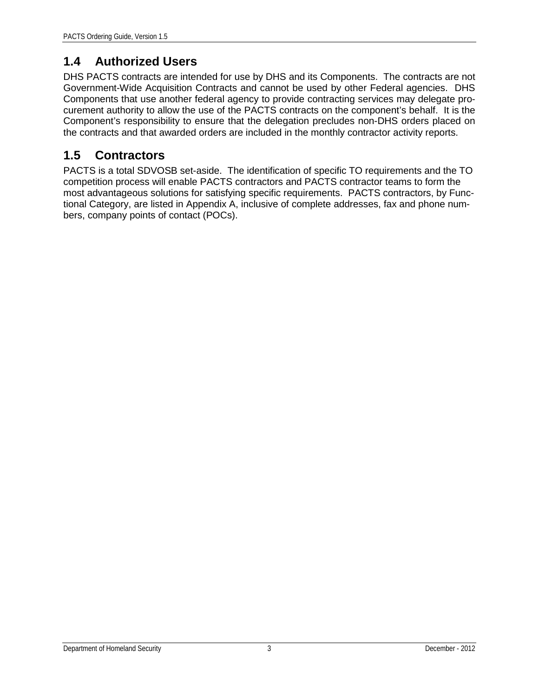### <span id="page-6-0"></span>**1.4 Authorized Users**

DHS PACTS contracts are intended for use by DHS and its Components. The contracts are not Government-Wide Acquisition Contracts and cannot be used by other Federal agencies. DHS Components that use another federal agency to provide contracting services may delegate procurement authority to allow the use of the PACTS contracts on the component's behalf. It is the Component's responsibility to ensure that the delegation precludes non-DHS orders placed on the contracts and that awarded orders are included in the monthly contractor activity reports.

### <span id="page-6-1"></span>**1.5 Contractors**

PACTS is a total SDVOSB set-aside. The identification of specific TO requirements and the TO competition process will enable PACTS contractors and PACTS contractor teams to form the most advantageous solutions for satisfying specific requirements. PACTS contractors, by Functional Category, are listed in Appendix A, inclusive of complete addresses, fax and phone numbers, company points of contact (POCs).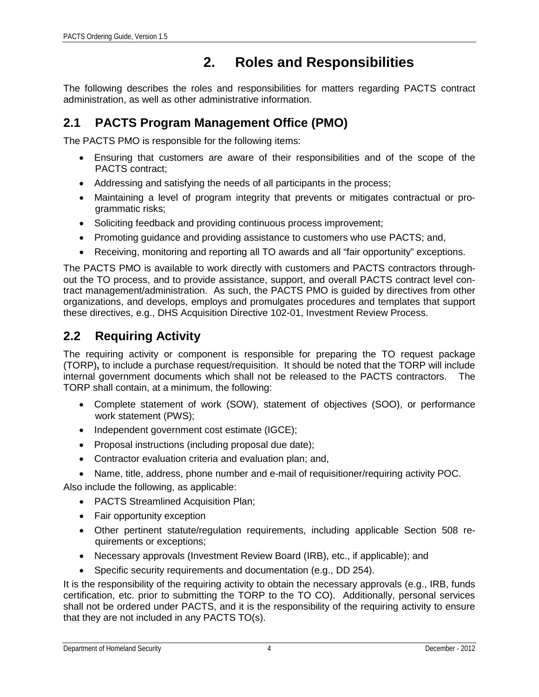## **2. Roles and Responsibilities**

<span id="page-7-0"></span>The following describes the roles and responsibilities for matters regarding PACTS contract administration, as well as other administrative information.

#### <span id="page-7-1"></span>**2.1 PACTS Program Management Office (PMO)**

The PACTS PMO is responsible for the following items:

- Ensuring that customers are aware of their responsibilities and of the scope of the PACTS contract;
- Addressing and satisfying the needs of all participants in the process;
- Maintaining a level of program integrity that prevents or mitigates contractual or programmatic risks;
- Soliciting feedback and providing continuous process improvement;
- Promoting guidance and providing assistance to customers who use PACTS; and,
- Receiving, monitoring and reporting all TO awards and all "fair opportunity" exceptions.

The PACTS PMO is available to work directly with customers and PACTS contractors throughout the TO process, and to provide assistance, support, and overall PACTS contract level contract management/administration. As such, the PACTS PMO is guided by directives from other organizations, and develops, employs and promulgates procedures and templates that support these directives, e.g., DHS Acquisition Directive 102-01, Investment Review Process.

#### <span id="page-7-2"></span>**2.2 Requiring Activity**

The requiring activity or component is responsible for preparing the TO request package (TORP)**,** to include a purchase request/requisition. It should be noted that the TORP will include internal government documents which shall not be released to the PACTS contractors. The TORP shall contain, at a minimum, the following:

- Complete statement of work (SOW), statement of objectives (SOO), or performance work statement (PWS);
- Independent government cost estimate (IGCE);
- Proposal instructions (including proposal due date);
- Contractor evaluation criteria and evaluation plan; and,
- Name, title, address, phone number and e-mail of requisitioner/requiring activity POC.

Also include the following, as applicable:

- PACTS Streamlined Acquisition Plan;
- Fair opportunity exception
- Other pertinent statute/regulation requirements, including applicable Section 508 requirements or exceptions;
- Necessary approvals (Investment Review Board (IRB), etc., if applicable); and
- Specific security requirements and documentation (e.g., DD 254).

It is the responsibility of the requiring activity to obtain the necessary approvals (e.g., IRB, funds certification, etc. prior to submitting the TORP to the TO CO). Additionally, personal services shall not be ordered under PACTS, and it is the responsibility of the requiring activity to ensure that they are not included in any PACTS TO(s).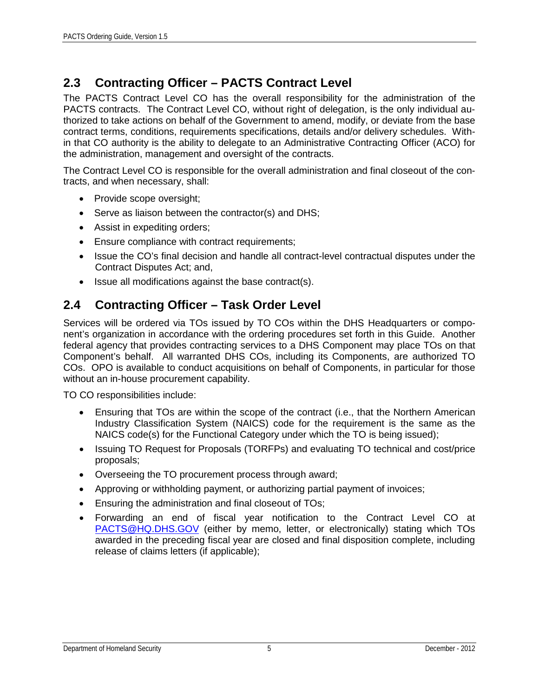## <span id="page-8-0"></span>**2.3 Contracting Officer – PACTS Contract Level**

The PACTS Contract Level CO has the overall responsibility for the administration of the PACTS contracts. The Contract Level CO, without right of delegation, is the only individual authorized to take actions on behalf of the Government to amend, modify, or deviate from the base contract terms, conditions, requirements specifications, details and/or delivery schedules. Within that CO authority is the ability to delegate to an Administrative Contracting Officer (ACO) for the administration, management and oversight of the contracts.

The Contract Level CO is responsible for the overall administration and final closeout of the contracts, and when necessary, shall:

- Provide scope oversight;
- Serve as liaison between the contractor(s) and DHS;
- Assist in expediting orders;
- Ensure compliance with contract requirements;
- Issue the CO's final decision and handle all contract-level contractual disputes under the Contract Disputes Act; and,
- Issue all modifications against the base contract(s).

### <span id="page-8-1"></span>**2.4 Contracting Officer – Task Order Level**

Services will be ordered via TOs issued by TO COs within the DHS Headquarters or component's organization in accordance with the ordering procedures set forth in this Guide. Another federal agency that provides contracting services to a DHS Component may place TOs on that Component's behalf. All warranted DHS COs, including its Components, are authorized TO COs. OPO is available to conduct acquisitions on behalf of Components, in particular for those without an in-house procurement capability.

TO CO responsibilities include:

- Ensuring that TOs are within the scope of the contract (i.e., that the Northern American Industry Classification System (NAICS) code for the requirement is the same as the NAICS code(s) for the Functional Category under which the TO is being issued);
- Issuing TO Request for Proposals (TORFPs) and evaluating TO technical and cost/price proposals;
- Overseeing the TO procurement process through award;
- Approving or withholding payment, or authorizing partial payment of invoices;
- Ensuring the administration and final closeout of TOs;
- Forwarding an end of fiscal year notification to the Contract Level CO at [PACTS@HQ.DHS.GOV](mailto:PACTS@HQ.DHS.GOV) (either by memo, letter, or electronically) stating which TOs awarded in the preceding fiscal year are closed and final disposition complete, including release of claims letters (if applicable);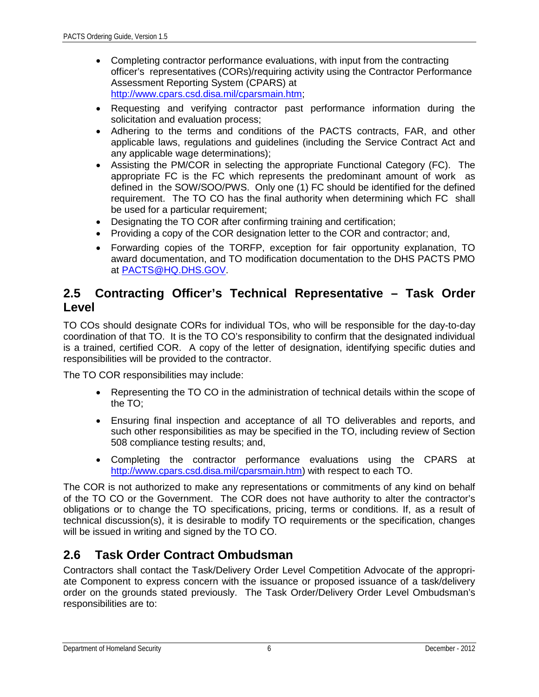- Completing contractor performance evaluations, with input from the contracting officer's representatives (CORs)/requiring activity using the Contractor Performance Assessment Reporting System (CPARS) at [http://www.cpars.csd.disa.mil/cparsmain.htm;](http://www.cpars.csd.disa.mil/cparsmain.htm)
- Requesting and verifying contractor past performance information during the solicitation and evaluation process;
- Adhering to the terms and conditions of the PACTS contracts, FAR, and other applicable laws, regulations and guidelines (including the Service Contract Act and any applicable wage determinations);
- Assisting the PM/COR in selecting the appropriate Functional Category (FC). The appropriate FC is the FC which represents the predominant amount of work as defined in the SOW/SOO/PWS. Only one (1) FC should be identified for the defined requirement. The TO CO has the final authority when determining which FC shall be used for a particular requirement;
- Designating the TO COR after confirming training and certification;
- Providing a copy of the COR designation letter to the COR and contractor; and,
- Forwarding copies of the TORFP, exception for fair opportunity explanation, TO award documentation, and TO modification documentation to the DHS PACTS PMO at [PACTS@HQ.DHS.GOV.](mailto:PACTS@HQ.DHS.GOV)

#### <span id="page-9-0"></span>**2.5 Contracting Officer's Technical Representative – Task Order Level**

TO COs should designate CORs for individual TOs, who will be responsible for the day-to-day coordination of that TO. It is the TO CO's responsibility to confirm that the designated individual is a trained, certified COR. A copy of the letter of designation, identifying specific duties and responsibilities will be provided to the contractor.

The TO COR responsibilities may include:

- Representing the TO CO in the administration of technical details within the scope of the TO;
- Ensuring final inspection and acceptance of all TO deliverables and reports, and such other responsibilities as may be specified in the TO, including review of Section 508 compliance testing results; and,
- Completing the contractor performance evaluations using the CPARS at [http://www.cpars.csd.disa.mil/cparsmain.htm\)](http://www.cpars.csd.disa.mil/cparsmain.htm) with respect to each TO.

The COR is not authorized to make any representations or commitments of any kind on behalf of the TO CO or the Government. The COR does not have authority to alter the contractor's obligations or to change the TO specifications, pricing, terms or conditions. If, as a result of technical discussion(s), it is desirable to modify TO requirements or the specification, changes will be issued in writing and signed by the TO CO.

#### <span id="page-9-1"></span>**2.6 Task Order Contract Ombudsman**

Contractors shall contact the Task/Delivery Order Level Competition Advocate of the appropriate Component to express concern with the issuance or proposed issuance of a task/delivery order on the grounds stated previously. The Task Order/Delivery Order Level Ombudsman's responsibilities are to: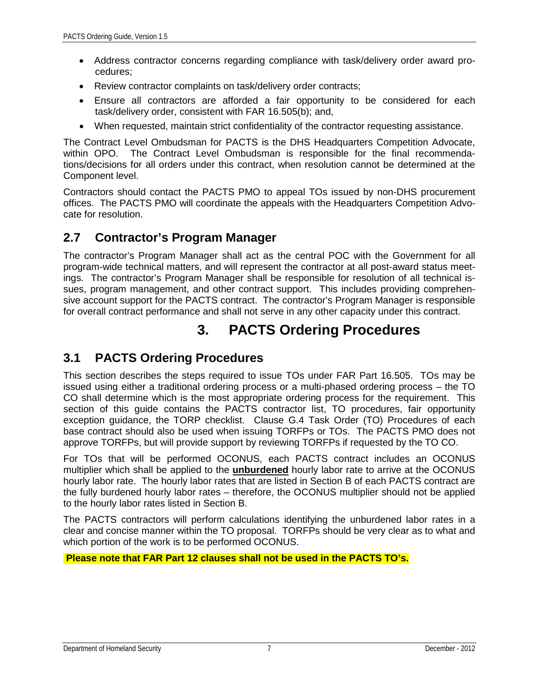- Address contractor concerns regarding compliance with task/delivery order award procedures;
- Review contractor complaints on task/delivery order contracts;
- Ensure all contractors are afforded a fair opportunity to be considered for each task/delivery order, consistent with FAR 16.505(b); and,
- When requested, maintain strict confidentiality of the contractor requesting assistance.

The Contract Level Ombudsman for PACTS is the DHS Headquarters Competition Advocate, within OPO. The Contract Level Ombudsman is responsible for the final recommendations/decisions for all orders under this contract, when resolution cannot be determined at the Component level.

Contractors should contact the PACTS PMO to appeal TOs issued by non-DHS procurement offices. The PACTS PMO will coordinate the appeals with the Headquarters Competition Advocate for resolution.

#### <span id="page-10-0"></span>**2.7 Contractor's Program Manager**

The contractor's Program Manager shall act as the central POC with the Government for all program-wide technical matters, and will represent the contractor at all post-award status meetings. The contractor's Program Manager shall be responsible for resolution of all technical issues, program management, and other contract support. This includes providing comprehensive account support for the PACTS contract. The contractor's Program Manager is responsible for overall contract performance and shall not serve in any other capacity under this contract.

## **3. PACTS Ordering Procedures**

#### <span id="page-10-2"></span><span id="page-10-1"></span>**3.1 PACTS Ordering Procedures**

This section describes the steps required to issue TOs under FAR Part 16.505. TOs may be issued using either a traditional ordering process or a multi-phased ordering process – the TO CO shall determine which is the most appropriate ordering process for the requirement. This section of this guide contains the PACTS contractor list, TO procedures, fair opportunity exception guidance, the TORP checklist. Clause G.4 Task Order (TO) Procedures of each base contract should also be used when issuing TORFPs or TOs. The PACTS PMO does not approve TORFPs, but will provide support by reviewing TORFPs if requested by the TO CO.

For TOs that will be performed OCONUS, each PACTS contract includes an OCONUS multiplier which shall be applied to the **unburdened** hourly labor rate to arrive at the OCONUS hourly labor rate. The hourly labor rates that are listed in Section B of each PACTS contract are the fully burdened hourly labor rates – therefore, the OCONUS multiplier should not be applied to the hourly labor rates listed in Section B.

The PACTS contractors will perform calculations identifying the unburdened labor rates in a clear and concise manner within the TO proposal. TORFPs should be very clear as to what and which portion of the work is to be performed OCONUS.

**Please note that FAR Part 12 clauses shall not be used in the PACTS TO's.**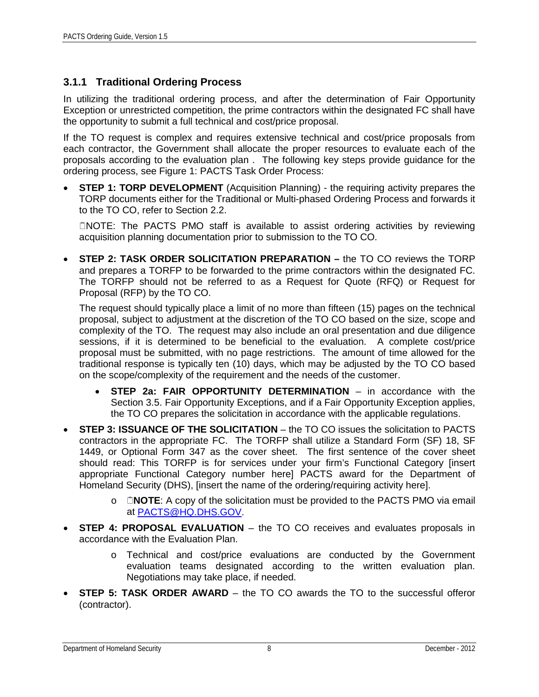#### **3.1.1 Traditional Ordering Process**

In utilizing the traditional ordering process, and after the determination of Fair Opportunity Exception or unrestricted competition, the prime contractors within the designated FC shall have the opportunity to submit a full technical and cost/price proposal.

If the TO request is complex and requires extensive technical and cost/price proposals from each contractor, the Government shall allocate the proper resources to evaluate each of the proposals according to the evaluation plan . The following key steps provide guidance for the ordering process, see Figure 1: PACTS Task Order Process:

**STEP 1: TORP DEVELOPMENT** (Acquisition Planning) - the requiring activity prepares the TORP documents either for the Traditional or Multi-phased Ordering Process and forwards it to the TO CO, refer to Section 2.2.

NOTE: The PACTS PMO staff is available to assist ordering activities by reviewing acquisition planning documentation prior to submission to the TO CO.

• **STEP 2: TASK ORDER SOLICITATION PREPARATION –** the TO CO reviews the TORP and prepares a TORFP to be forwarded to the prime contractors within the designated FC. The TORFP should not be referred to as a Request for Quote (RFQ) or Request for Proposal (RFP) by the TO CO.

The request should typically place a limit of no more than fifteen (15) pages on the technical proposal, subject to adjustment at the discretion of the TO CO based on the size, scope and complexity of the TO. The request may also include an oral presentation and due diligence sessions, if it is determined to be beneficial to the evaluation. A complete cost/price proposal must be submitted, with no page restrictions. The amount of time allowed for the traditional response is typically ten (10) days, which may be adjusted by the TO CO based on the scope/complexity of the requirement and the needs of the customer.

- **STEP 2a: FAIR OPPORTUNITY DETERMINATION** in accordance with the Section 3.5. Fair Opportunity Exceptions, and if a Fair Opportunity Exception applies, the TO CO prepares the solicitation in accordance with the applicable regulations.
- **STEP 3: ISSUANCE OF THE SOLICITATION** the TO CO issues the solicitation to PACTS contractors in the appropriate FC. The TORFP shall utilize a Standard Form (SF) 18, SF 1449, or Optional Form 347 as the cover sheet. The first sentence of the cover sheet should read: This TORFP is for services under your firm's Functional Category [insert appropriate Functional Category number here] PACTS award for the Department of Homeland Security (DHS), [insert the name of the ordering/requiring activity here].
	- o **NOTE**: A copy of the solicitation must be provided to the PACTS PMO via email at [PACTS@HQ.DHS.GOV.](mailto:PACTS@HQ.DHS.GOV)
- **STEP 4: PROPOSAL EVALUATION** the TO CO receives and evaluates proposals in accordance with the Evaluation Plan.
	- o Technical and cost/price evaluations are conducted by the Government evaluation teams designated according to the written evaluation plan. Negotiations may take place, if needed.
- **STEP 5: TASK ORDER AWARD** the TO CO awards the TO to the successful offeror (contractor).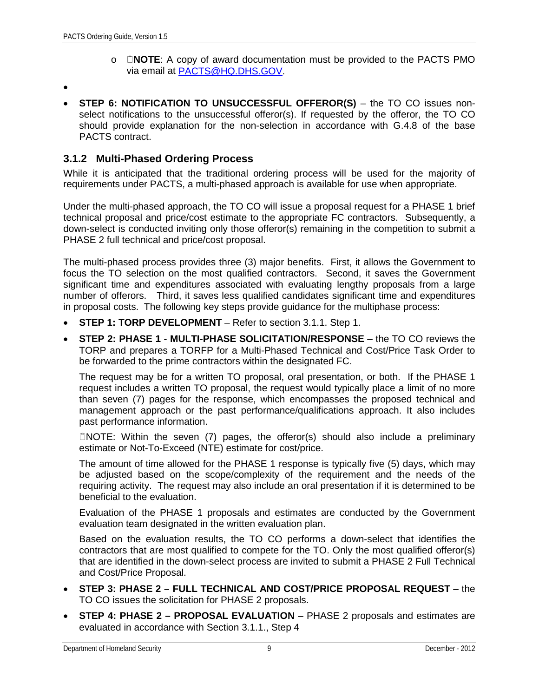- o **NOTE**: A copy of award documentation must be provided to the PACTS PMO via email at [PACTS@HQ.DHS.GOV.](mailto:PACTS@HQ.DHS.GOV)
- •
- **STEP 6: NOTIFICATION TO UNSUCCESSFUL OFFEROR(S)** the TO CO issues nonselect notifications to the unsuccessful offeror(s). If requested by the offeror, the TO CO should provide explanation for the non-selection in accordance with G.4.8 of the base PACTS contract.

#### **3.1.2 Multi-Phased Ordering Process**

While it is anticipated that the traditional ordering process will be used for the majority of requirements under PACTS, a multi-phased approach is available for use when appropriate.

Under the multi-phased approach, the TO CO will issue a proposal request for a PHASE 1 brief technical proposal and price/cost estimate to the appropriate FC contractors. Subsequently, a down-select is conducted inviting only those offeror(s) remaining in the competition to submit a PHASE 2 full technical and price/cost proposal.

The multi-phased process provides three (3) major benefits. First, it allows the Government to focus the TO selection on the most qualified contractors. Second, it saves the Government significant time and expenditures associated with evaluating lengthy proposals from a large number of offerors. Third, it saves less qualified candidates significant time and expenditures in proposal costs. The following key steps provide guidance for the multiphase process:

- **STEP 1: TORP DEVELOPMENT** Refer to section 3.1.1. Step 1.
- **STEP 2: PHASE 1 - MULTI-PHASE SOLICITATION/RESPONSE** the TO CO reviews the TORP and prepares a TORFP for a Multi-Phased Technical and Cost/Price Task Order to be forwarded to the prime contractors within the designated FC.

The request may be for a written TO proposal, oral presentation, or both. If the PHASE 1 request includes a written TO proposal, the request would typically place a limit of no more than seven (7) pages for the response, which encompasses the proposed technical and management approach or the past performance/qualifications approach. It also includes past performance information.

NOTE: Within the seven (7) pages, the offeror(s) should also include a preliminary estimate or Not-To-Exceed (NTE) estimate for cost/price.

The amount of time allowed for the PHASE 1 response is typically five (5) days, which may be adjusted based on the scope/complexity of the requirement and the needs of the requiring activity. The request may also include an oral presentation if it is determined to be beneficial to the evaluation.

Evaluation of the PHASE 1 proposals and estimates are conducted by the Government evaluation team designated in the written evaluation plan.

Based on the evaluation results, the TO CO performs a down-select that identifies the contractors that are most qualified to compete for the TO. Only the most qualified offeror(s) that are identified in the down-select process are invited to submit a PHASE 2 Full Technical and Cost/Price Proposal.

- **STEP 3: PHASE 2 – FULL TECHNICAL AND COST/PRICE PROPOSAL REQUEST** the TO CO issues the solicitation for PHASE 2 proposals.
- **STEP 4: PHASE 2 – PROPOSAL EVALUATION** PHASE 2 proposals and estimates are evaluated in accordance with Section 3.1.1., Step 4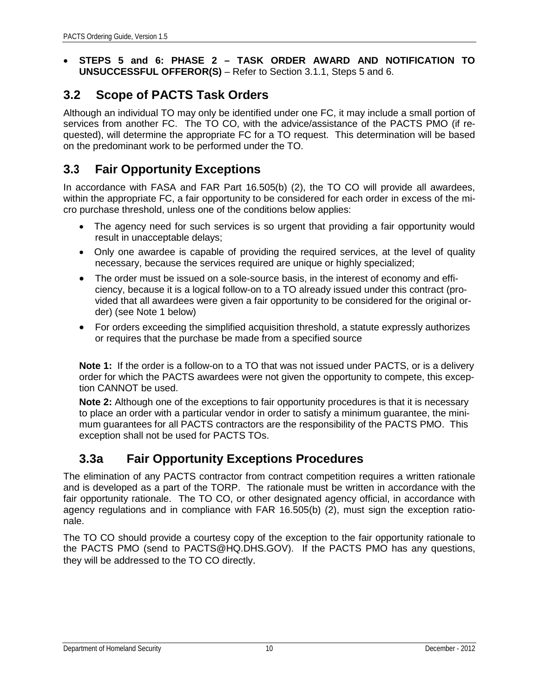• **STEPS 5 and 6: PHASE 2 – TASK ORDER AWARD AND NOTIFICATION TO UNSUCCESSFUL OFFEROR(S)** – Refer to Section 3.1.1, Steps 5 and 6.

#### <span id="page-13-0"></span>**3.2 Scope of PACTS Task Orders**

Although an individual TO may only be identified under one FC, it may include a small portion of services from another FC. The TO CO, with the advice/assistance of the PACTS PMO (if requested), will determine the appropriate FC for a TO request. This determination will be based on the predominant work to be performed under the TO.

#### **3.3 Fair Opportunity Exceptions**

In accordance with FASA and FAR Part 16.505(b) (2), the TO CO will provide all awardees, within the appropriate FC, a fair opportunity to be considered for each order in excess of the micro purchase threshold, unless one of the conditions below applies:

- The agency need for such services is so urgent that providing a fair opportunity would result in unacceptable delays;
- Only one awardee is capable of providing the required services, at the level of quality necessary, because the services required are unique or highly specialized;
- The order must be issued on a sole-source basis, in the interest of economy and efficiency, because it is a logical follow-on to a TO already issued under this contract (provided that all awardees were given a fair opportunity to be considered for the original order) (see Note 1 below)
- For orders exceeding the simplified acquisition threshold, a statute expressly authorizes or requires that the purchase be made from a specified source

**Note 1:** If the order is a follow-on to a TO that was not issued under PACTS, or is a delivery order for which the PACTS awardees were not given the opportunity to compete, this exception CANNOT be used.

**Note 2:** Although one of the exceptions to fair opportunity procedures is that it is necessary to place an order with a particular vendor in order to satisfy a minimum guarantee, the minimum guarantees for all PACTS contractors are the responsibility of the PACTS PMO. This exception shall not be used for PACTS TOs.

#### <span id="page-13-1"></span>**3.3a Fair Opportunity Exceptions Procedures**

The elimination of any PACTS contractor from contract competition requires a written rationale and is developed as a part of the TORP. The rationale must be written in accordance with the fair opportunity rationale. The TO CO, or other designated agency official, in accordance with agency regulations and in compliance with FAR 16.505(b) (2), must sign the exception rationale.

The TO CO should provide a courtesy copy of the exception to the fair opportunity rationale to the PACTS PMO (send to PACTS@HQ.DHS.GOV). If the PACTS PMO has any questions, they will be addressed to the TO CO directly.

#### Department of Homeland Security 10 December - 2012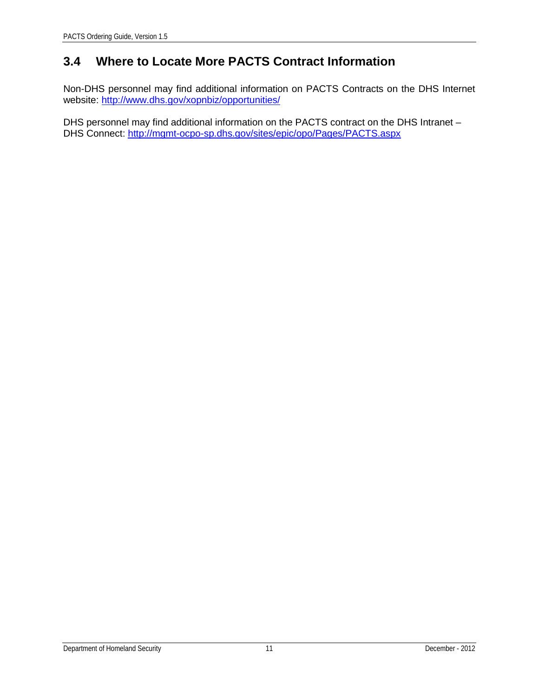### <span id="page-14-0"></span>**3.4 Where to Locate More PACTS Contract Information**

Non-DHS personnel may find additional information on PACTS Contracts on the DHS Internet website: http://www.dhs.gov/xopnbiz/opportunities/

DHS personnel may find additional information on the PACTS contract on the DHS Intranet – DHS Connect: <http://mgmt-ocpo-sp.dhs.gov/sites/epic/opo/Pages/PACTS.aspx>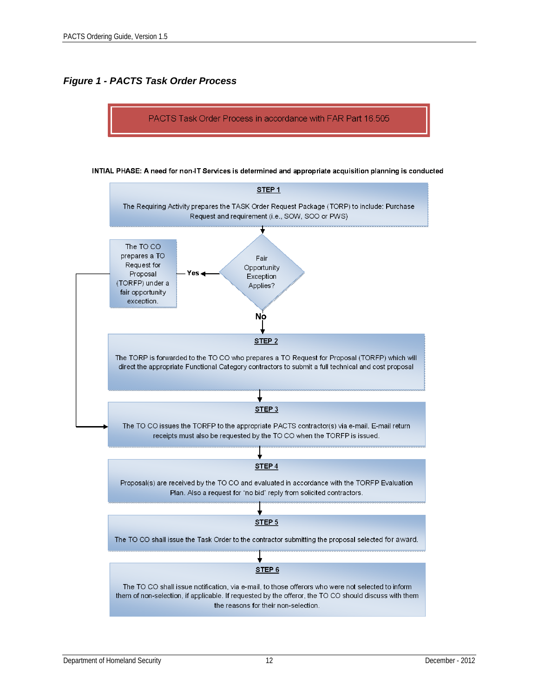#### *Figure 1 - PACTS Task Order Process*

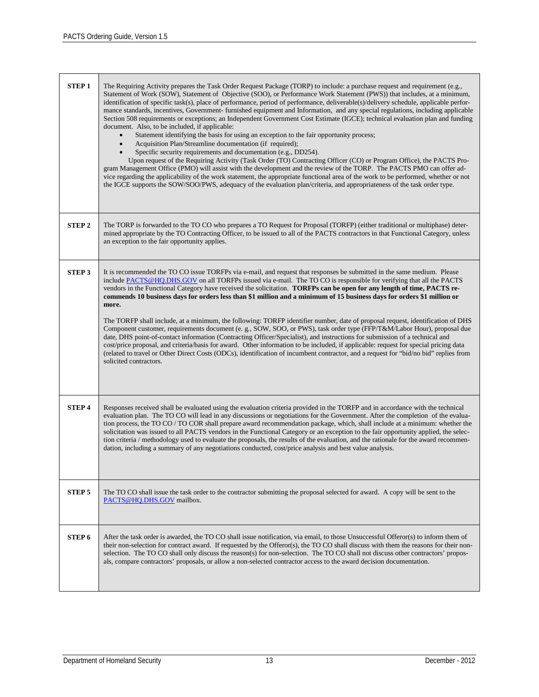| <b>STEP1</b>      | The Requiring Activity prepares the Task Order Request Package (TORP) to include: a purchase request and requirement (e.g.,<br>Statement of Work (SOW), Statement of Objective (SOO), or Performance Work Statement (PWS)) that includes, at a minimum,<br>identification of specific task(s), place of performance, period of performance, deliverable(s)/delivery schedule, applicable perfor-<br>mance standards, incentives, Government-furnished equipment and Information, and any special regulations, including applicable<br>Section 508 requirements or exceptions; an Independent Government Cost Estimate (IGCE); technical evaluation plan and funding<br>document. Also, to be included, if applicable:<br>Statement identifying the basis for using an exception to the fair opportunity process;<br>Acquisition Plan/Streamline documentation (if required);<br>$\bullet$<br>Specific security requirements and documentation (e.g., DD254).<br>Upon request of the Requiring Activity (Task Order (TO) Contracting Officer (CO) or Program Office), the PACTS Pro-<br>gram Management Office (PMO) will assist with the development and the review of the TORP. The PACTS PMO can offer ad-<br>vice regarding the applicability of the work statement, the appropriate functional area of the work to be performed, whether or not<br>the IGCE supports the SOW/SOO/PWS, adequacy of the evaluation plan/criteria, and appropriateness of the task order type. |
|-------------------|---------------------------------------------------------------------------------------------------------------------------------------------------------------------------------------------------------------------------------------------------------------------------------------------------------------------------------------------------------------------------------------------------------------------------------------------------------------------------------------------------------------------------------------------------------------------------------------------------------------------------------------------------------------------------------------------------------------------------------------------------------------------------------------------------------------------------------------------------------------------------------------------------------------------------------------------------------------------------------------------------------------------------------------------------------------------------------------------------------------------------------------------------------------------------------------------------------------------------------------------------------------------------------------------------------------------------------------------------------------------------------------------------------------------------------------------------------------------------------|
| <b>STEP2</b>      | The TORP is forwarded to the TO CO who prepares a TO Request for Proposal (TORFP) (either traditional or multiphase) deter-<br>mined appropriate by the TO Contracting Officer, to be issued to all of the PACTS contractors in that Functional Category, unless<br>an exception to the fair opportunity applies.                                                                                                                                                                                                                                                                                                                                                                                                                                                                                                                                                                                                                                                                                                                                                                                                                                                                                                                                                                                                                                                                                                                                                               |
| <b>STEP 3</b>     | It is recommended the TO CO issue TORFPs via e-mail, and request that responses be submitted in the same medium. Please<br>include PACTS@HQ.DHS.GOV on all TORFPs issued via e-mail. The TO CO is responsible for verifying that all the PACTS<br>vendors in the Functional Category have received the solicitation. TORFPs can be open for any length of time, PACTS re-<br>commends 10 business days for orders less than \$1 million and a minimum of 15 business days for orders \$1 million or<br>more.<br>The TORFP shall include, at a minimum, the following: TORFP identifier number, date of proposal request, identification of DHS<br>Component customer, requirements document (e. g., SOW, SOO, or PWS), task order type (FFP/T&M/Labor Hour), proposal due<br>date, DHS point-of-contact information (Contracting Officer/Specialist), and instructions for submission of a technical and<br>cost/price proposal, and criteria/basis for award. Other information to be included, if applicable: request for special pricing data<br>(related to travel or Other Direct Costs (ODCs), identification of incumbent contractor, and a request for "bid/no bid" replies from<br>solicited contractors.                                                                                                                                                                                                                                                              |
| <b>STEP4</b>      | Responses received shall be evaluated using the evaluation criteria provided in the TORFP and in accordance with the technical<br>evaluation plan. The TO CO will lead in any discussions or negotiations for the Government. After the completion of the evalua-<br>tion process, the TO CO / TO COR shall prepare award recommendation package, which, shall include at a minimum: whether the<br>solicitation was issued to all PACTS vendors in the Functional Category or an exception to the fair opportunity applied, the selec-<br>tion criteria / methodology used to evaluate the proposals, the results of the evaluation, and the rationale for the award recommen-<br>dation, including a summary of any negotiations conducted, cost/price analysis and best value analysis.                                                                                                                                                                                                                                                                                                                                                                                                                                                                                                                                                                                                                                                                                      |
| <b>STEP 5</b>     | The TO CO shall issue the task order to the contractor submitting the proposal selected for award. A copy will be sent to the<br>PACTS@HQ.DHS.GOV mailbox.                                                                                                                                                                                                                                                                                                                                                                                                                                                                                                                                                                                                                                                                                                                                                                                                                                                                                                                                                                                                                                                                                                                                                                                                                                                                                                                      |
| STEP <sub>6</sub> | After the task order is awarded, the TO CO shall issue notification, via email, to those Unsuccessful Offeror(s) to inform them of<br>their non-selection for contract award. If requested by the Offeror(s), the TO CO shall discuss with them the reasons for their non-<br>selection. The TO CO shall only discuss the reason(s) for non-selection. The TO CO shall not discuss other contractors' propos-<br>als, compare contractors' proposals, or allow a non-selected contractor access to the award decision documentation.                                                                                                                                                                                                                                                                                                                                                                                                                                                                                                                                                                                                                                                                                                                                                                                                                                                                                                                                            |